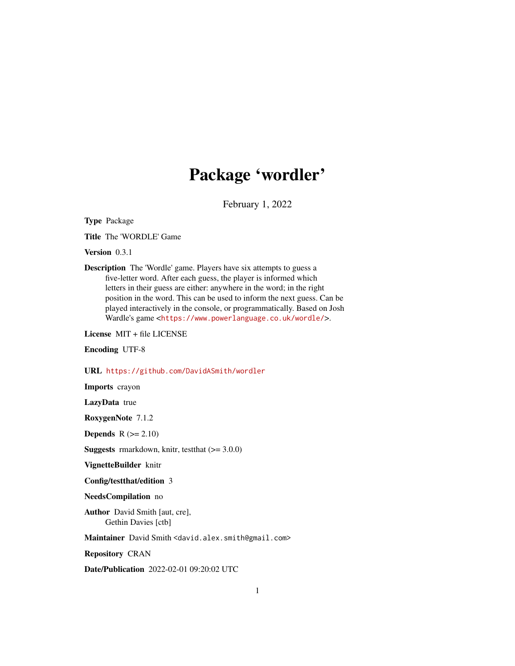# Package 'wordler'

February 1, 2022

Type Package

Title The 'WORDLE' Game

Version 0.3.1

Description The 'Wordle' game. Players have six attempts to guess a five-letter word. After each guess, the player is informed which letters in their guess are either: anywhere in the word; in the right position in the word. This can be used to inform the next guess. Can be played interactively in the console, or programmatically. Based on Josh Wardle's game <<https://www.powerlanguage.co.uk/wordle/>>.

License MIT + file LICENSE

Encoding UTF-8

URL <https://github.com/DavidASmith/wordler>

Imports crayon

LazyData true

RoxygenNote 7.1.2

**Depends**  $R (= 2.10)$ 

**Suggests** rmarkdown, knitr, test that  $(>= 3.0.0)$ 

VignetteBuilder knitr

Config/testthat/edition 3

NeedsCompilation no

Author David Smith [aut, cre], Gethin Davies [ctb]

Maintainer David Smith <david.alex.smith@gmail.com>

Repository CRAN

Date/Publication 2022-02-01 09:20:02 UTC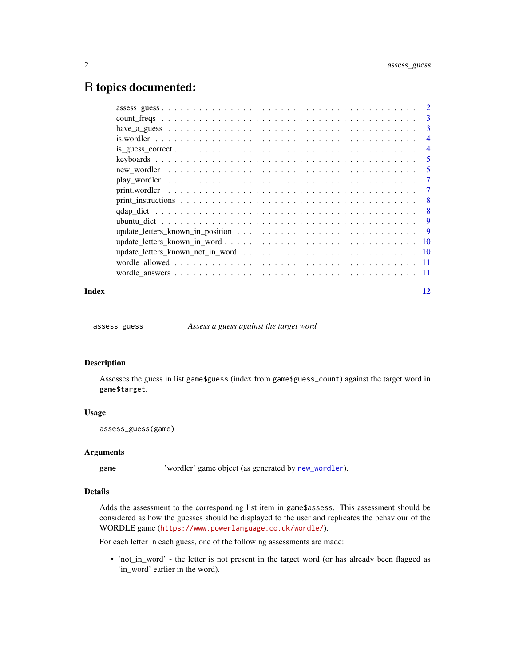# <span id="page-1-0"></span>R topics documented:

|  | $\overline{5}$ |
|--|----------------|
|  | $\overline{4}$ |
|  | $\overline{4}$ |
|  |                |
|  |                |

assess\_guess *Assess a guess against the target word*

#### Description

Assesses the guess in list game\$guess (index from game\$guess\_count) against the target word in game\$target.

#### Usage

```
assess_guess(game)
```
#### Arguments

game 'wordler' game object (as generated by [new\\_wordler](#page-4-1)).

#### Details

Adds the assessment to the corresponding list item in game\$assess. This assessment should be considered as how the guesses should be displayed to the user and replicates the behaviour of the WORDLE game (<https://www.powerlanguage.co.uk/wordle/>).

For each letter in each guess, one of the following assessments are made:

• 'not\_in\_word' - the letter is not present in the target word (or has already been flagged as 'in\_word' earlier in the word).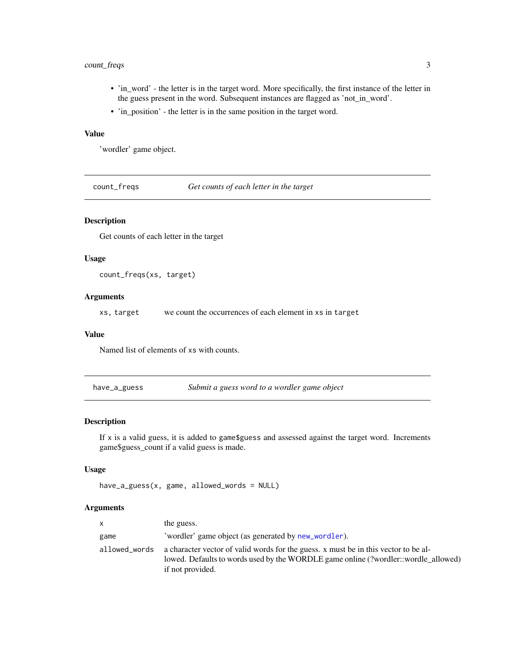# <span id="page-2-0"></span>count\_freqs 3

- 'in\_word' the letter is in the target word. More specifically, the first instance of the letter in the guess present in the word. Subsequent instances are flagged as 'not\_in\_word'.
- 'in\_position' the letter is in the same position in the target word.

# Value

'wordler' game object.

count\_freqs *Get counts of each letter in the target*

# Description

Get counts of each letter in the target

# Usage

```
count_freqs(xs, target)
```
# Arguments

xs, target we count the occurrences of each element in xs in target

#### Value

Named list of elements of xs with counts.

have\_a\_guess *Submit a guess word to a wordler game object*

# Description

If x is a valid guess, it is added to game\$guess and assessed against the target word. Increments game\$guess\_count if a valid guess is made.

# Usage

```
have_a_guess(x, game, allowed_words = NULL)
```
#### Arguments

| $\mathsf{x}$  | the guess.                                                                                                                                                                                    |
|---------------|-----------------------------------------------------------------------------------------------------------------------------------------------------------------------------------------------|
| game          | 'wordler' game object (as generated by new_wordler).                                                                                                                                          |
| allowed_words | a character vector of valid words for the guess. x must be in this vector to be al-<br>lowed. Defaults to words used by the WORDLE game online (?wordler::wordle_allowed)<br>if not provided. |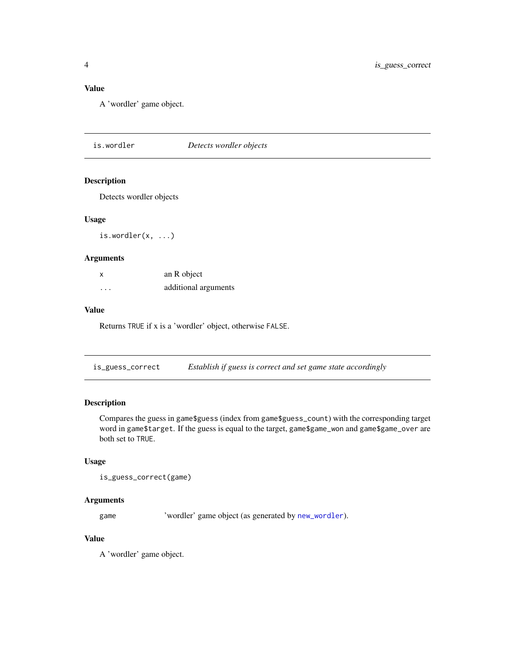# <span id="page-3-0"></span>Value

A 'wordler' game object.

is.wordler *Detects wordler objects*

# Description

Detects wordler objects

# Usage

is.wordler(x, ...)

#### Arguments

| X       | an R object          |
|---------|----------------------|
| $\cdot$ | additional arguments |

# Value

Returns TRUE if x is a 'wordler' object, otherwise FALSE.

is\_guess\_correct *Establish if guess is correct and set game state accordingly*

# Description

Compares the guess in game\$guess (index from game\$guess\_count) with the corresponding target word in game\$target. If the guess is equal to the target, game\$game\_won and game\$game\_over are both set to TRUE.

# Usage

```
is_guess_correct(game)
```
# Arguments

game 'wordler' game object (as generated by [new\\_wordler](#page-4-1)).

# Value

A 'wordler' game object.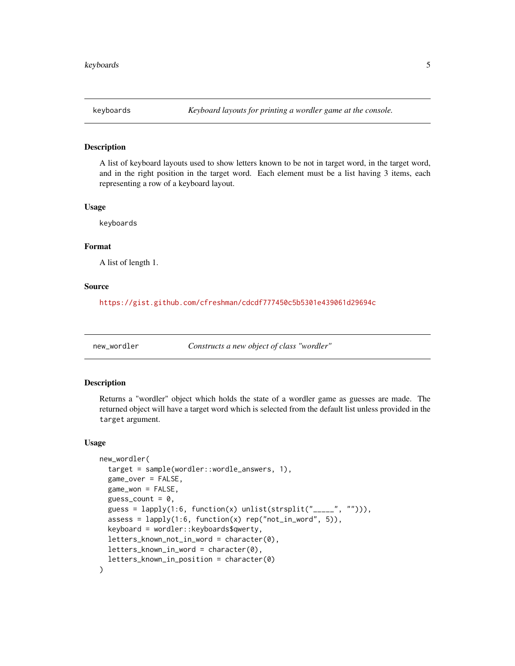<span id="page-4-0"></span>

A list of keyboard layouts used to show letters known to be not in target word, in the target word, and in the right position in the target word. Each element must be a list having 3 items, each representing a row of a keyboard layout.

#### Usage

keyboards

# Format

A list of length 1.

#### Source

<https://gist.github.com/cfreshman/cdcdf777450c5b5301e439061d29694c>

<span id="page-4-1"></span>new\_wordler *Constructs a new object of class "wordler"*

#### Description

Returns a "wordler" object which holds the state of a wordler game as guesses are made. The returned object will have a target word which is selected from the default list unless provided in the target argument.

#### Usage

```
new_wordler(
  target = sample(wordler::wordle_answers, 1),
  game_over = FALSE,
  game_won = FALSE,
  guess_count = 0,
  guess = lapply(1:6, function(x) unlist(strsplit("_{---}", ""))),
  assess = \text{lapply}(1:6, function(x) rep("not_in_words", 5)),keyboard = wordler::keyboards$qwerty,
  letters_known_not_in_word = character(0),
  letters_known_in_word = character(0),
  letters_known_in_position = character(0)
)
```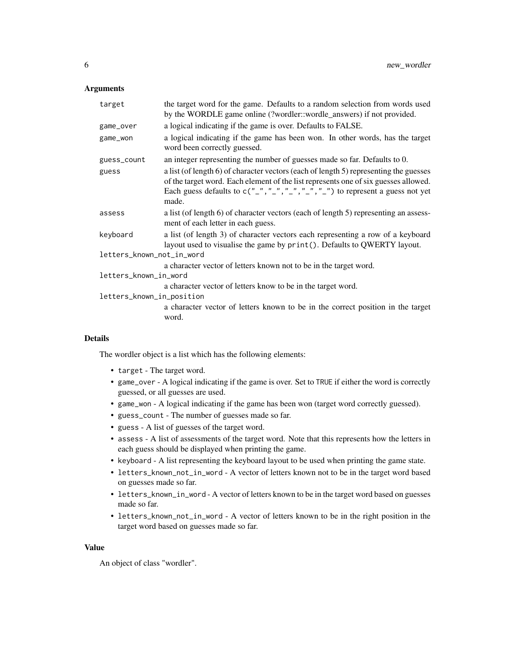# Arguments

| target                    | the target word for the game. Defaults to a random selection from words used<br>by the WORDLE game online (?wordler::wordle_answers) if not provided.                                                                                                                                                                                       |
|---------------------------|---------------------------------------------------------------------------------------------------------------------------------------------------------------------------------------------------------------------------------------------------------------------------------------------------------------------------------------------|
| game_over                 | a logical indicating if the game is over. Defaults to FALSE.                                                                                                                                                                                                                                                                                |
| game_won                  | a logical indicating if the game has been won. In other words, has the target<br>word been correctly guessed.                                                                                                                                                                                                                               |
| guess_count               | an integer representing the number of guesses made so far. Defaults to 0.                                                                                                                                                                                                                                                                   |
| guess                     | a list (of length 6) of character vectors (each of length 5) representing the guesses<br>of the target word. Each element of the list represents one of six guesses allowed.<br>Each guess defaults to $C(\frac{n}{n}, \frac{n}{n}, \frac{n}{n}, \frac{n}{n}, \frac{n}{n}, \frac{n}{n}, \frac{n}{n})$ to represent a guess not yet<br>made. |
| assess                    | a list (of length 6) of character vectors (each of length 5) representing an assess-<br>ment of each letter in each guess.                                                                                                                                                                                                                  |
| keyboard                  | a list (of length 3) of character vectors each representing a row of a keyboard<br>layout used to visualise the game by print(). Defaults to QWERTY layout.                                                                                                                                                                                 |
| letters_known_not_in_word |                                                                                                                                                                                                                                                                                                                                             |
|                           | a character vector of letters known not to be in the target word.                                                                                                                                                                                                                                                                           |
| letters_known_in_word     |                                                                                                                                                                                                                                                                                                                                             |
|                           | a character vector of letters know to be in the target word.                                                                                                                                                                                                                                                                                |
| letters_known_in_position |                                                                                                                                                                                                                                                                                                                                             |
|                           | a character vector of letters known to be in the correct position in the target<br>word.                                                                                                                                                                                                                                                    |
|                           |                                                                                                                                                                                                                                                                                                                                             |

# Details

The wordler object is a list which has the following elements:

- target The target word.
- game\_over A logical indicating if the game is over. Set to TRUE if either the word is correctly guessed, or all guesses are used.
- game\_won A logical indicating if the game has been won (target word correctly guessed).
- guess\_count The number of guesses made so far.
- guess A list of guesses of the target word.
- assess A list of assessments of the target word. Note that this represents how the letters in each guess should be displayed when printing the game.
- keyboard A list representing the keyboard layout to be used when printing the game state.
- letters\_known\_not\_in\_word A vector of letters known not to be in the target word based on guesses made so far.
- letters\_known\_in\_word A vector of letters known to be in the target word based on guesses made so far.
- letters\_known\_not\_in\_word A vector of letters known to be in the right position in the target word based on guesses made so far.

#### Value

An object of class "wordler".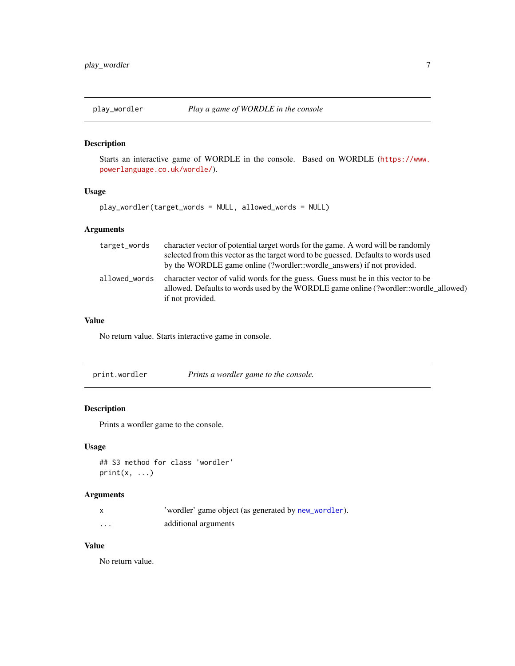<span id="page-6-0"></span>

Starts an interactive game of WORDLE in the console. Based on WORDLE ([https://www.](https://www.powerlanguage.co.uk/wordle/) [powerlanguage.co.uk/wordle/](https://www.powerlanguage.co.uk/wordle/)).

# Usage

play\_wordler(target\_words = NULL, allowed\_words = NULL)

# Arguments

| target_words  | character vector of potential target words for the game. A word will be randomly<br>selected from this vector as the target word to be guessed. Defaults to words used<br>by the WORDLE game online (?wordlerect:wordle_answers) if not provided. |
|---------------|---------------------------------------------------------------------------------------------------------------------------------------------------------------------------------------------------------------------------------------------------|
| allowed_words | character vector of valid words for the guess. Guess must be in this vector to be<br>allowed. Defaults to words used by the WORDLE game online (?wordler::wordle_allowed)<br>if not provided.                                                     |

# Value

No return value. Starts interactive game in console.

| print.wordler | Prints a wordler game to the console. |
|---------------|---------------------------------------|
|---------------|---------------------------------------|

# Description

Prints a wordler game to the console.

# Usage

## S3 method for class 'wordler'  $print(x, \ldots)$ 

# Arguments

|   | 'wordler' game object (as generated by new_wordler). |
|---|------------------------------------------------------|
| . | additional arguments                                 |

# Value

No return value.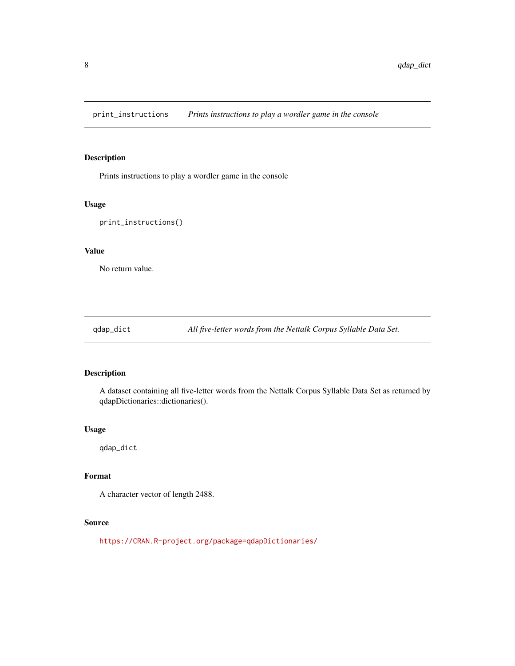<span id="page-7-0"></span>print\_instructions *Prints instructions to play a wordler game in the console*

# Description

Prints instructions to play a wordler game in the console

# Usage

print\_instructions()

#### Value

No return value.

qdap\_dict *All five-letter words from the Nettalk Corpus Syllable Data Set.*

# Description

A dataset containing all five-letter words from the Nettalk Corpus Syllable Data Set as returned by qdapDictionaries::dictionaries().

# Usage

qdap\_dict

# Format

A character vector of length 2488.

# Source

<https://CRAN.R-project.org/package=qdapDictionaries/>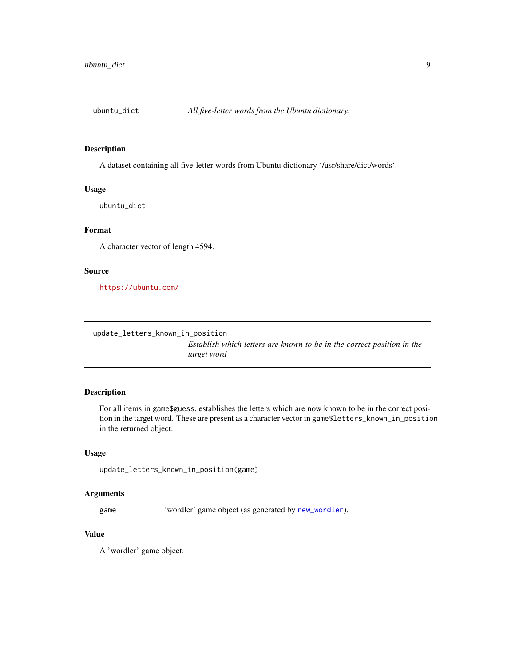<span id="page-8-0"></span>

A dataset containing all five-letter words from Ubuntu dictionary '/usr/share/dict/words'.

# Usage

ubuntu\_dict

# Format

A character vector of length 4594.

#### Source

<https://ubuntu.com/>

update\_letters\_known\_in\_position

*Establish which letters are known to be in the correct position in the target word*

#### Description

For all items in game\$guess, establishes the letters which are now known to be in the correct position in the target word. These are present as a character vector in game\$letters\_known\_in\_position in the returned object.

#### Usage

update\_letters\_known\_in\_position(game)

#### Arguments

game 'wordler' game object (as generated by [new\\_wordler](#page-4-1)).

# Value

A 'wordler' game object.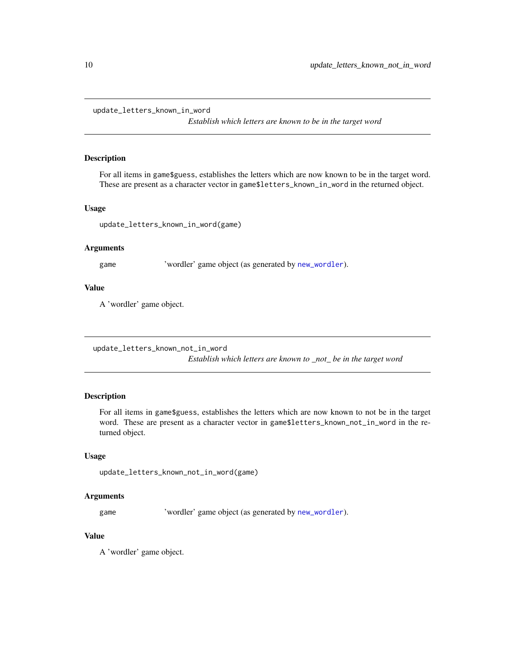<span id="page-9-0"></span>update\_letters\_known\_in\_word

*Establish which letters are known to be in the target word*

# Description

For all items in game\$guess, establishes the letters which are now known to be in the target word. These are present as a character vector in game\$letters\_known\_in\_word in the returned object.

#### Usage

update\_letters\_known\_in\_word(game)

#### Arguments

game 'wordler' game object (as generated by [new\\_wordler](#page-4-1)).

# Value

A 'wordler' game object.

update\_letters\_known\_not\_in\_word

*Establish which letters are known to \_not\_ be in the target word*

# Description

For all items in game\$guess, establishes the letters which are now known to not be in the target word. These are present as a character vector in game\$letters\_known\_not\_in\_word in the returned object.

#### Usage

update\_letters\_known\_not\_in\_word(game)

#### Arguments

game 'wordler' game object (as generated by [new\\_wordler](#page-4-1)).

# Value

A 'wordler' game object.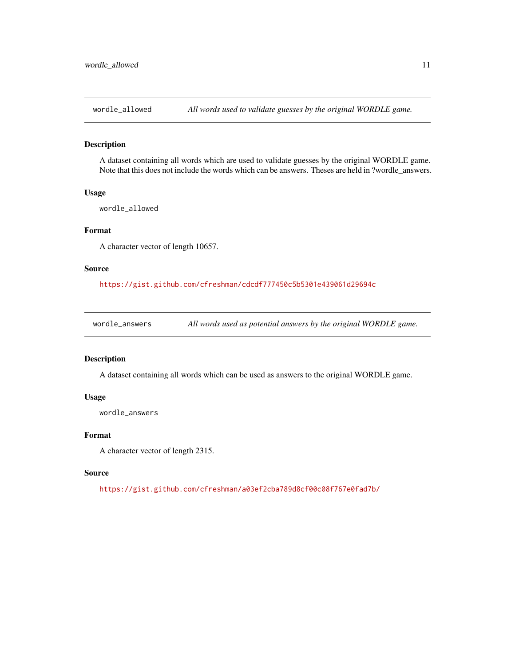<span id="page-10-0"></span>

A dataset containing all words which are used to validate guesses by the original WORDLE game. Note that this does not include the words which can be answers. Theses are held in ?wordle\_answers.

#### Usage

wordle\_allowed

# Format

A character vector of length 10657.

#### Source

<https://gist.github.com/cfreshman/cdcdf777450c5b5301e439061d29694c>

wordle\_answers *All words used as potential answers by the original WORDLE game.*

#### Description

A dataset containing all words which can be used as answers to the original WORDLE game.

# Usage

wordle\_answers

# Format

A character vector of length 2315.

#### Source

<https://gist.github.com/cfreshman/a03ef2cba789d8cf00c08f767e0fad7b/>